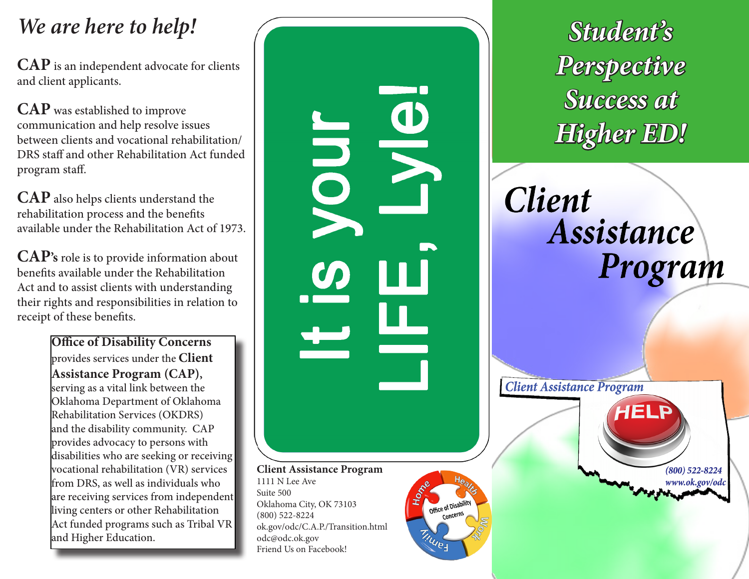# *We are here to help!*

**CAP** is an independent advocate for clients and client applicants.

**CAP** was established to improve communication and help resolve issues between clients and vocational rehabilitation/ DRS staff and other Rehabilitation Act funded program staff.

**CAP** also helps clients understand the rehabilitation process and the benefits available under the Rehabilitation Act of 1973.

**CAP's** role is to provide information about benefits available under the Rehabilitation Act and to assist clients with understanding their rights and responsibilities in relation to receipt of these benefits.

> **Office of Disability Concerns**  provides services under the **Client Assistance Program (CAP) ,** serving as a vital link between the Oklahoma Department of Oklahoma Rehabilitation Services (OKDRS) and the disability community. CAP provides advocacy to persons with disabilities who are seeking or receiving vocational rehabilitation (VR) services from DRS, as well as individuals who are receiving services from independent living centers or other Rehabilitation Act funded programs such as Tribal VR and Higher Education.



*Student's Perspective Success at Higher ED!*

**Client** Assistance Program

**Client Assistance Program**